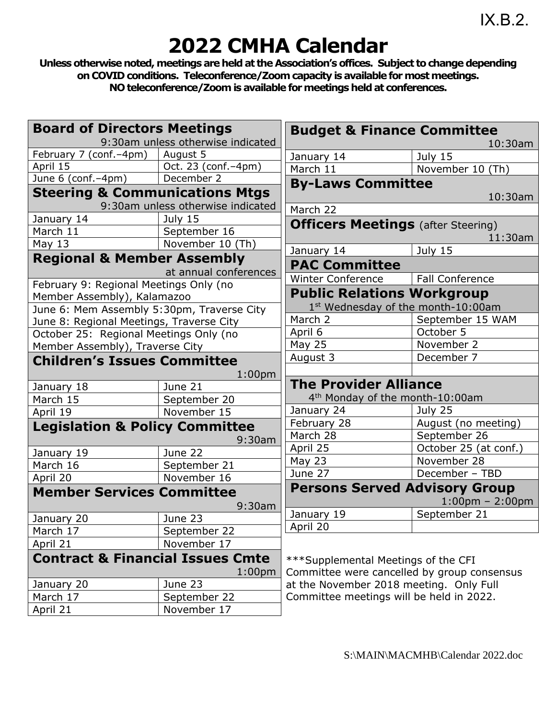## **2022 CMHA Calendar**

**Unless otherwise noted, meetings are held at the Association's offices. Subject to change depending on COVID conditions. Teleconference/Zoomcapacity is available for mostmeetings. NO teleconference/Zoomis available formeetings held at conferences.**

| <b>Board of Directors Meetings</b>          | 9:30am unless otherwise indicated | <b>Budget &amp; Finance Committee</b>                                               |                                   |
|---------------------------------------------|-----------------------------------|-------------------------------------------------------------------------------------|-----------------------------------|
| February 7 (conf. - 4pm)                    | August 5                          |                                                                                     | 10:30am                           |
| April 15                                    | Oct. 23 (conf.-4pm)               | January 14<br>March 11                                                              | July 15                           |
| June 6 (conf.-4pm)                          | December 2                        |                                                                                     | November 10 (Th)                  |
| <b>Steering &amp; Communications Mtgs</b>   |                                   | <b>By-Laws Committee</b>                                                            |                                   |
|                                             | 9:30am unless otherwise indicated |                                                                                     | 10:30am                           |
| January 14                                  | July 15                           | March 22                                                                            |                                   |
| March 11                                    | September 16                      | <b>Officers Meetings</b> (after Steering)                                           |                                   |
| May $13$                                    | November 10 (Th)                  |                                                                                     | 11:30am                           |
|                                             |                                   | January 14                                                                          | July 15                           |
| <b>Regional &amp; Member Assembly</b>       | at annual conferences             | <b>PAC Committee</b>                                                                |                                   |
| February 9: Regional Meetings Only (no      |                                   | <b>Winter Conference</b>                                                            | Fall Conference                   |
| Member Assembly), Kalamazoo                 |                                   | <b>Public Relations Workgroup</b>                                                   |                                   |
| June 6: Mem Assembly 5:30pm, Traverse City  |                                   | 1st Wednesday of the month-10:00am                                                  |                                   |
| June 8: Regional Meetings, Traverse City    |                                   | March 2                                                                             | September 15 WAM                  |
| October 25: Regional Meetings Only (no      |                                   | April 6                                                                             | October 5                         |
| Member Assembly), Traverse City             |                                   | May 25                                                                              | November 2                        |
| <b>Children's Issues Committee</b>          |                                   | August 3                                                                            | December 7                        |
|                                             | 1:00 <sub>pm</sub>                |                                                                                     |                                   |
| January 18                                  | June 21                           | <b>The Provider Alliance</b>                                                        |                                   |
| March 15                                    | September 20                      | 4 <sup>th</sup> Monday of the month-10:00am                                         |                                   |
| April 19                                    | November 15                       | January 24                                                                          | July 25                           |
| <b>Legislation &amp; Policy Committee</b>   |                                   | February 28                                                                         | August (no meeting)               |
|                                             | 9:30am                            | March 28                                                                            | September 26                      |
| January 19                                  | June 22                           | April 25                                                                            | October 25 (at conf.)             |
| March 16                                    | September 21                      | <b>May 23</b>                                                                       | November 28                       |
| April 20                                    | November 16                       | June 27                                                                             | December - TBD                    |
| <b>Member Services Committee</b>            |                                   | <b>Persons Served Advisory Group</b>                                                |                                   |
|                                             | 9:30am                            |                                                                                     | $1:00 \text{pm} - 2:00 \text{pm}$ |
| January 20                                  | June 23                           | January 19                                                                          | September 21                      |
| March 17                                    | September 22                      | April 20                                                                            |                                   |
| April 21                                    | November 17                       |                                                                                     |                                   |
| <b>Contract &amp; Financial Issues Cmte</b> |                                   |                                                                                     |                                   |
|                                             | 1:00 <sub>pm</sub>                | *** Supplemental Meetings of the CFI<br>Committee were cancelled by group consensus |                                   |
| January 20                                  | June 23                           | at the November 2018 meeting. Only Full                                             |                                   |
| March 17                                    | September 22                      | Committee meetings will be held in 2022.                                            |                                   |
| April 21                                    | November 17                       |                                                                                     |                                   |
|                                             |                                   |                                                                                     |                                   |